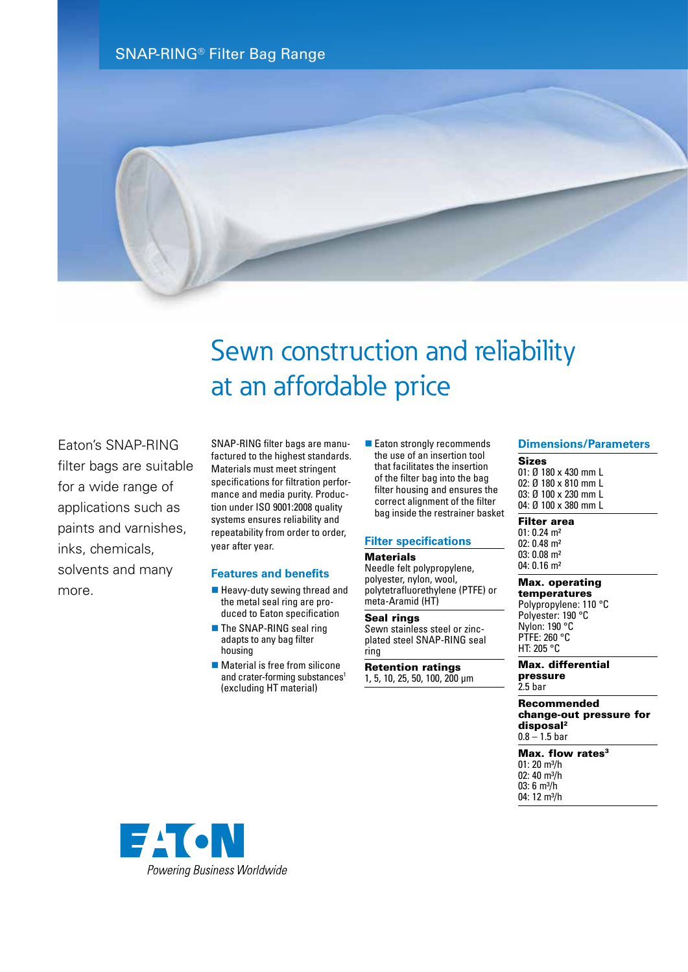SNAP-RING® Filter Bag Range



# Sewn construction and reliability at an affordable price

Eaton's SNAP-RING filter bags are suitable for a wide range of applications such as paints and varnishes, inks, chemicals, solvents and many more.

SNAP-RING filter bags are manufactured to the highest standards. Materials must meet stringent specifications for filtration performance and media purity. Production under ISO 9001:2008 quality systems ensures reliability and repeatability from order to order, year after year.

#### **Features and benefits**

- $\blacksquare$  Heavy-duty sewing thread and the metal seal ring are produced to Eaton specification
- $\blacksquare$  The SNAP-RING seal ring adapts to any bag filter housing
- $\blacksquare$  Material is free from silicone and crater-forming substances<sup>1</sup> (excluding HT material)

■ Eaton strongly recommends the use of an insertion tool that facilitates the insertion of the filter bag into the bag filter housing and ensures the correct alignment of the filter bag inside the restrainer basket

#### **Filter specifications**

#### **Materials**

Needle felt polypropylene, polyester, nylon, wool, polytetrafluorethylene (PTFE) or meta-Aramid (HT)

#### Seal rings

Sewn stainless steel or zincplated steel SNAP-RING seal ring

Retention ratings 1, 5, 10, 25, 50, 100, 200 µm

#### **Dimensions/Parameters**

Sizes 01: Ø 180 x 430 mm L 02: Ø 180 x 810 mm L 03: Ø 100 x 230 mm L 04: Ø 100 x 380 mm L

#### Filter area

01: 0.24 m² 02: 0.48 m² 03: 0.08 m² 04: 0.16 m²

#### Max. operating temperatures

Polypropylene: 110 °C Polyester: 190 °C Nylon: 190 °C PTFE: 260 °C HT: 205 °C

#### Max. differential pressure 2.5 bar

Recommended change-out pressure for disposal2  $0.8 - 1.5$  bar

Max. flow rates $3$ 01: 20 m³/h 02:  $40 \text{ m}^3/h$ 03: 6 m³/h 04: 12 m<sup>3</sup>/h